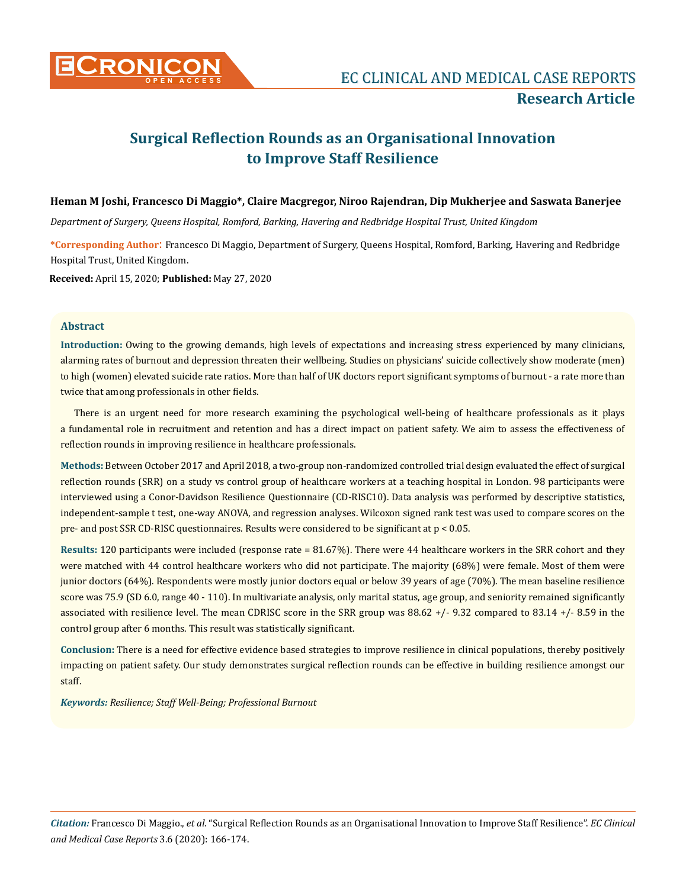

# **Surgical Reflection Rounds as an Organisational Innovation to Improve Staff Resilience**

## **Heman M Joshi, Francesco Di Maggio\*, Claire Macgregor, Niroo Rajendran, Dip Mukherjee and Saswata Banerjee**

*Department of Surgery, Queens Hospital, Romford, Barking, Havering and Redbridge Hospital Trust, United Kingdom*

**\*Corresponding Author**: Francesco Di Maggio, Department of Surgery, Queens Hospital, Romford, Barking, Havering and Redbridge Hospital Trust, United Kingdom.

**Received:** April 15, 2020; **Published:** May 27, 2020

## **Abstract**

**Introduction:** Owing to the growing demands, high levels of expectations and increasing stress experienced by many clinicians, alarming rates of burnout and depression threaten their wellbeing. Studies on physicians' suicide collectively show moderate (men) to high (women) elevated suicide rate ratios. More than half of UK doctors report significant symptoms of burnout - a rate more than twice that among professionals in other fields.

There is an urgent need for more research examining the psychological well-being of healthcare professionals as it plays a fundamental role in recruitment and retention and has a direct impact on patient safety. We aim to assess the effectiveness of reflection rounds in improving resilience in healthcare professionals.

**Methods:** Between October 2017 and April 2018, a two-group non-randomized controlled trial design evaluated the effect of surgical reflection rounds (SRR) on a study vs control group of healthcare workers at a teaching hospital in London. 98 participants were interviewed using a Conor-Davidson Resilience Questionnaire (CD-RISC10). Data analysis was performed by descriptive statistics, independent-sample t test, one-way ANOVA, and regression analyses. Wilcoxon signed rank test was used to compare scores on the pre- and post SSR CD-RISC questionnaires. Results were considered to be significant at p < 0.05.

**Results:** 120 participants were included (response rate = 81.67%). There were 44 healthcare workers in the SRR cohort and they were matched with 44 control healthcare workers who did not participate. The majority (68%) were female. Most of them were junior doctors (64%). Respondents were mostly junior doctors equal or below 39 years of age (70%). The mean baseline resilience score was 75.9 (SD 6.0, range 40 - 110). In multivariate analysis, only marital status, age group, and seniority remained significantly associated with resilience level. The mean CDRISC score in the SRR group was 88.62 +/- 9.32 compared to 83.14 +/- 8.59 in the control group after 6 months. This result was statistically significant.

**Conclusion:** There is a need for effective evidence based strategies to improve resilience in clinical populations, thereby positively impacting on patient safety. Our study demonstrates surgical reflection rounds can be effective in building resilience amongst our staff.

*Keywords: Resilience; Staff Well-Being; Professional Burnout*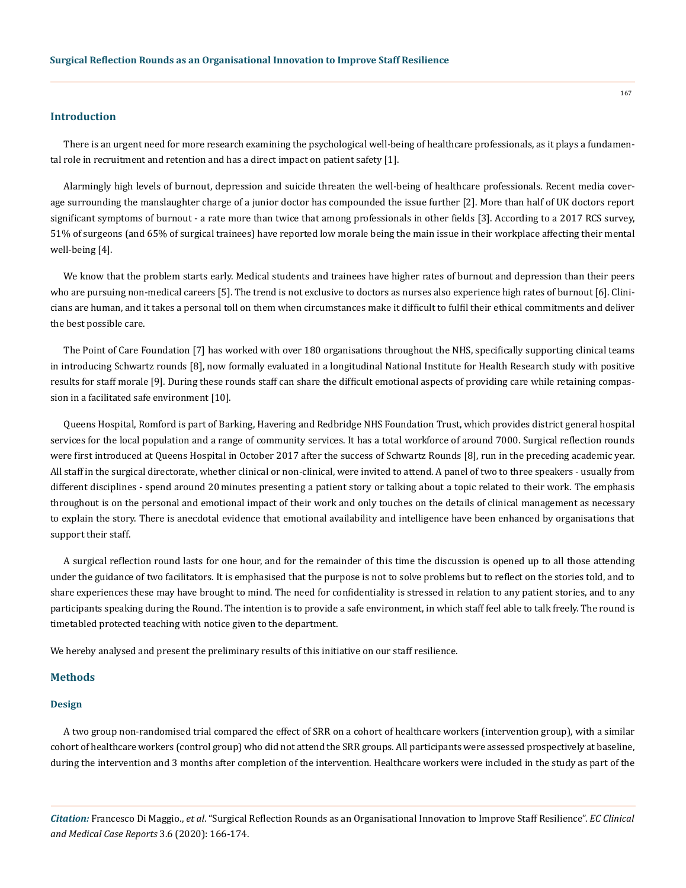## **Introduction**

There is an urgent need for more research examining the psychological well-being of healthcare professionals, as it plays a fundamental role in recruitment and retention and has a direct impact on patient safety [1].

Alarmingly high levels of burnout, depression and suicide threaten the well-being of healthcare professionals. Recent media coverage surrounding the manslaughter charge of a junior doctor has compounded the issue further [2]. More than half of UK doctors report significant symptoms of burnout - a rate more than twice that among professionals in other fields [3]. According to a 2017 RCS survey, 51% of surgeons (and 65% of surgical trainees) have reported low morale being the main issue in their workplace affecting their mental well-being [4].

We know that the problem starts early. Medical students and trainees have higher rates of burnout and depression than their peers who are pursuing non-medical careers [5]. The trend is not exclusive to doctors as nurses also experience high rates of burnout [6]. Clinicians are human, and it takes a personal toll on them when circumstances make it difficult to fulfil their ethical commitments and deliver the best possible care.

The Point of Care Foundation [7] has worked with over 180 organisations throughout the NHS, specifically supporting clinical teams in introducing Schwartz rounds [8], now formally evaluated in a longitudinal National Institute for Health Research study with positive results for staff morale [9]. During these rounds staff can share the difficult emotional aspects of providing care while retaining compassion in a facilitated safe environment [10].

Queens Hospital, Romford is part of Barking, Havering and Redbridge NHS Foundation Trust, which provides district general hospital services for the local population and a range of community services. It has a total workforce of around 7000. Surgical reflection rounds were first introduced at Queens Hospital in October 2017 after the success of Schwartz Rounds [8], run in the preceding academic year. All staff in the surgical directorate, whether clinical or non-clinical, were invited to attend. A panel of two to three speakers - usually from different disciplines - spend around 20 minutes presenting a patient story or talking about a topic related to their work. The emphasis throughout is on the personal and emotional impact of their work and only touches on the details of clinical management as necessary to explain the story. There is anecdotal evidence that emotional availability and intelligence have been enhanced by organisations that support their staff.

A surgical reflection round lasts for one hour, and for the remainder of this time the discussion is opened up to all those attending under the guidance of two facilitators. It is emphasised that the purpose is not to solve problems but to reflect on the stories told, and to share experiences these may have brought to mind. The need for confidentiality is stressed in relation to any patient stories, and to any participants speaking during the Round. The intention is to provide a safe environment, in which staff feel able to talk freely. The round is timetabled protected teaching with notice given to the department.

We hereby analysed and present the preliminary results of this initiative on our staff resilience.

### **Methods**

#### **Design**

A two group non-randomised trial compared the effect of SRR on a cohort of healthcare workers (intervention group), with a similar cohort of healthcare workers (control group) who did not attend the SRR groups. All participants were assessed prospectively at baseline, during the intervention and 3 months after completion of the intervention. Healthcare workers were included in the study as part of the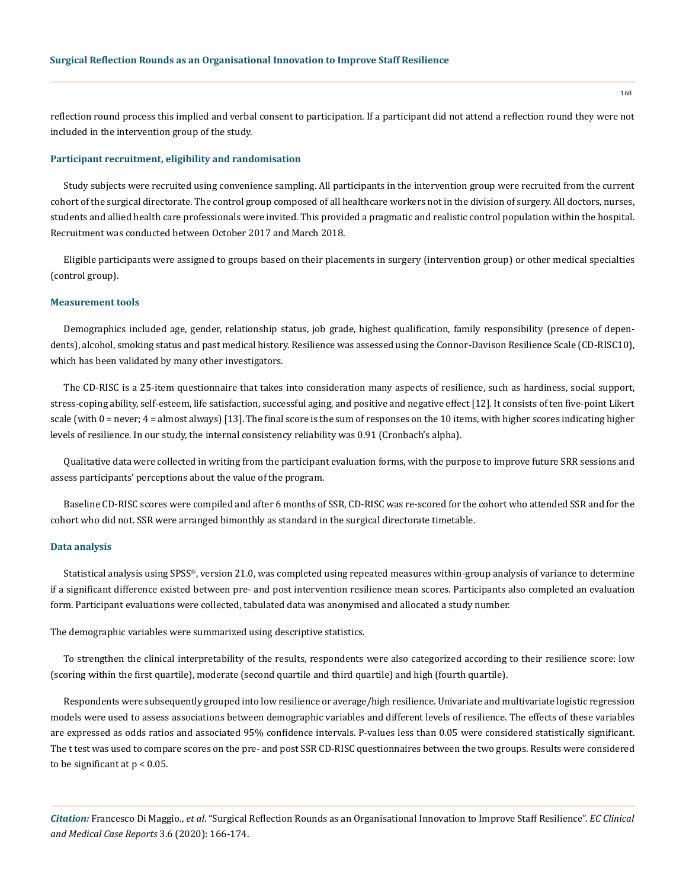reflection round process this implied and verbal consent to participation. If a participant did not attend a reflection round they were not included in the intervention group of the study.

### **Participant recruitment, eligibility and randomisation**

Study subjects were recruited using convenience sampling. All participants in the intervention group were recruited from the current cohort of the surgical directorate. The control group composed of all healthcare workers not in the division of surgery. All doctors, nurses, students and allied health care professionals were invited. This provided a pragmatic and realistic control population within the hospital. Recruitment was conducted between October 2017 and March 2018.

Eligible participants were assigned to groups based on their placements in surgery (intervention group) or other medical specialties (control group).

### **Measurement tools**

Demographics included age, gender, relationship status, job grade, highest qualification, family responsibility (presence of dependents), alcohol, smoking status and past medical history. Resilience was assessed using the Connor-Davison Resilience Scale (CD-RISC10), which has been validated by many other investigators.

The CD-RISC is a 25-item questionnaire that takes into consideration many aspects of resilience, such as hardiness, social support, stress-coping ability, self-esteem, life satisfaction, successful aging, and positive and negative effect [12]. It consists of ten five-point Likert scale (with  $0 =$  never;  $4 =$  almost always) [13]. The final score is the sum of responses on the 10 items, with higher scores indicating higher levels of resilience. In our study, the internal consistency reliability was 0.91 (Cronbach's alpha).

Qualitative data were collected in writing from the participant evaluation forms, with the purpose to improve future SRR sessions and assess participants' perceptions about the value of the program.

Baseline CD-RISC scores were compiled and after 6 months of SSR, CD-RISC was re-scored for the cohort who attended SSR and for the cohort who did not. SSR were arranged bimonthly as standard in the surgical directorate timetable.

#### **Data analysis**

Statistical analysis using SPSS®, version 21.0, was completed using repeated measures within-group analysis of variance to determine if a significant difference existed between pre- and post intervention resilience mean scores. Participants also completed an evaluation form. Participant evaluations were collected, tabulated data was anonymised and allocated a study number.

The demographic variables were summarized using descriptive statistics.

To strengthen the clinical interpretability of the results, respondents were also categorized according to their resilience score: low (scoring within the first quartile), moderate (second quartile and third quartile) and high (fourth quartile).

Respondents were subsequently grouped into low resilience or average/high resilience. Univariate and multivariate logistic regression models were used to assess associations between demographic variables and different levels of resilience. The effects of these variables are expressed as odds ratios and associated 95% confidence intervals. P-values less than 0.05 were considered statistically significant. The t test was used to compare scores on the pre- and post SSR CD-RISC questionnaires between the two groups. Results were considered to be significant at  $p < 0.05$ .

*Citation:* Francesco Di Maggio., *et al*. "Surgical Reflection Rounds as an Organisational Innovation to Improve Staff Resilience". *EC Clinical and Medical Case Reports* 3.6 (2020): 166-174.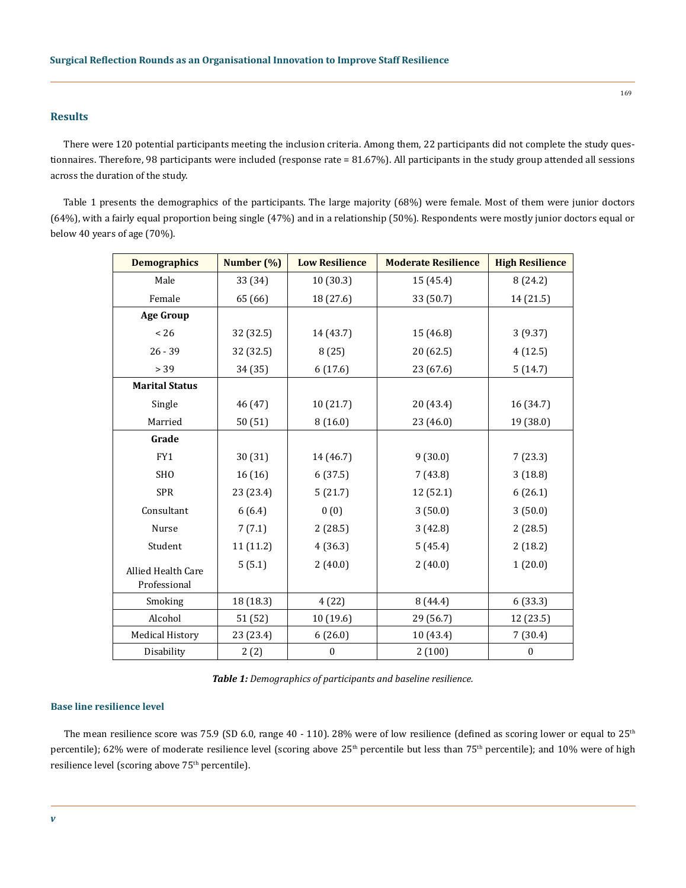## **Results**

There were 120 potential participants meeting the inclusion criteria. Among them, 22 participants did not complete the study questionnaires. Therefore, 98 participants were included (response rate = 81.67%). All participants in the study group attended all sessions across the duration of the study.

Table 1 presents the demographics of the participants. The large majority (68%) were female. Most of them were junior doctors (64%), with a fairly equal proportion being single (47%) and in a relationship (50%). Respondents were mostly junior doctors equal or below 40 years of age (70%).

| <b>Demographics</b>    | Number (%) | <b>Low Resilience</b> | <b>Moderate Resilience</b> | <b>High Resilience</b> |
|------------------------|------------|-----------------------|----------------------------|------------------------|
| Male                   | 33 (34)    | 10 (30.3)             | 15 (45.4)                  | 8(24.2)                |
| Female                 | 65 (66)    | 18 (27.6)             | 33 (50.7)                  | 14 (21.5)              |
| <b>Age Group</b>       |            |                       |                            |                        |
| < 26                   | 32 (32.5)  | 14 (43.7)             | 15 (46.8)                  | 3(9.37)                |
| $26 - 39$              | 32 (32.5)  | 8(25)                 | 20 (62.5)                  | 4(12.5)                |
| > 39                   | 34 (35)    | 6(17.6)               | 23 (67.6)                  | 5(14.7)                |
| <b>Marital Status</b>  |            |                       |                            |                        |
| Single                 | 46 (47)    | 10(21.7)              | 20 (43.4)                  | 16 (34.7)              |
| Married                | 50(51)     | 8(16.0)               | 23 (46.0)                  | 19 (38.0)              |
| Grade                  |            |                       |                            |                        |
| FY1                    | 30 (31)    | 14 (46.7)             | 9(30.0)                    | 7(23.3)                |
| <b>SHO</b>             | 16(16)     | 6(37.5)               | 7(43.8)                    | 3(18.8)                |
| <b>SPR</b>             | 23 (23.4)  | 5(21.7)               | 12 (52.1)                  | 6(26.1)                |
| Consultant             | 6(6.4)     | 0(0)                  | 3(50.0)                    | 3(50.0)                |
| Nurse                  | 7(7.1)     | 2(28.5)               | 3(42.8)                    | 2(28.5)                |
| Student                | 11 (11.2)  | 4(36.3)               | 5(45.4)                    | 2(18.2)                |
| Allied Health Care     | 5(5.1)     | 2(40.0)               | 2(40.0)                    | 1(20.0)                |
| Professional           |            |                       |                            |                        |
| Smoking                | 18 (18.3)  | 4(22)                 | 8(44.4)                    | 6(33.3)                |
| Alcohol                | 51 (52)    | 10(19.6)              | 29 (56.7)                  | 12 (23.5)              |
| <b>Medical History</b> | 23 (23.4)  | 6(26.0)               | 10 (43.4)                  | 7(30.4)                |
| Disability             | 2(2)       | $\boldsymbol{0}$      | 2(100)                     | $\boldsymbol{0}$       |

*Table 1: Demographics of participants and baseline resilience.*

## **Base line resilience level**

The mean resilience score was 75.9 (SD 6.0, range 40 - 110). 28% were of low resilience (defined as scoring lower or equal to  $25<sup>th</sup>$ percentile); 62% were of moderate resilience level (scoring above 25<sup>th</sup> percentile but less than 75<sup>th</sup> percentile); and 10% were of high resilience level (scoring above 75<sup>th</sup> percentile).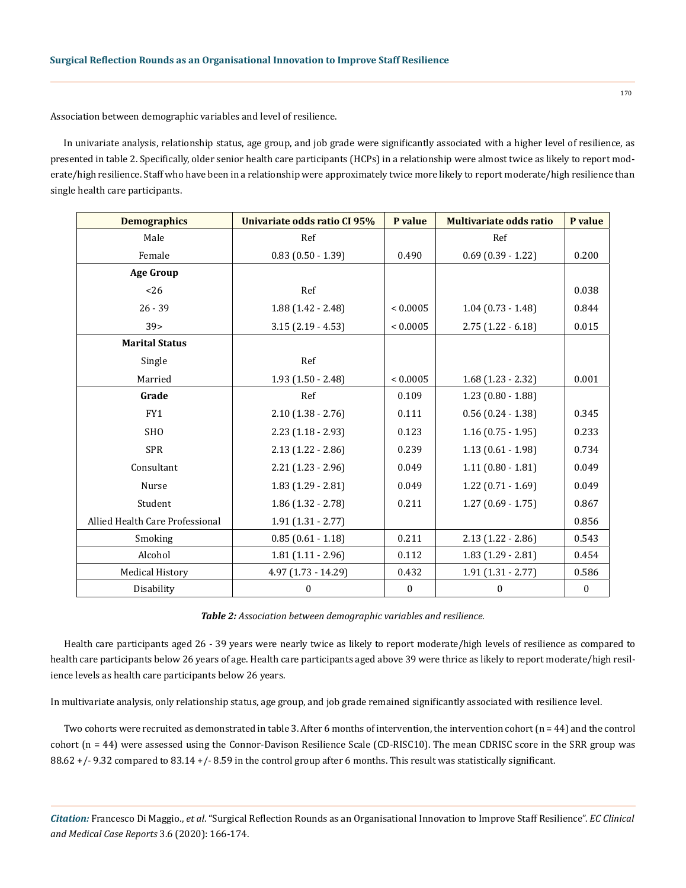Association between demographic variables and level of resilience.

In univariate analysis, relationship status, age group, and job grade were significantly associated with a higher level of resilience, as presented in table 2. Specifically, older senior health care participants (HCPs) in a relationship were almost twice as likely to report moderate/high resilience. Staff who have been in a relationship were approximately twice more likely to report moderate/high resilience than single health care participants.

| <b>Demographics</b>             | Univariate odds ratio CI 95% | P value       | <b>Multivariate odds ratio</b> | P value  |
|---------------------------------|------------------------------|---------------|--------------------------------|----------|
| Male                            | Ref                          |               | Ref                            |          |
| Female                          | $0.83(0.50 - 1.39)$          | 0.490         | $0.69$ $(0.39 - 1.22)$         | 0.200    |
| <b>Age Group</b>                |                              |               |                                |          |
| < 26                            | Ref                          |               |                                | 0.038    |
| $26 - 39$                       | $1.88(1.42 - 2.48)$          | ${}_{0.0005}$ | $1.04(0.73 - 1.48)$            | 0.844    |
| 39 <sub>2</sub>                 | $3.15(2.19 - 4.53)$          | ${}< 0.0005$  | $2.75(1.22 - 6.18)$            | 0.015    |
| <b>Marital Status</b>           |                              |               |                                |          |
| Single                          | Ref                          |               |                                |          |
| Married                         | $1.93(1.50 - 2.48)$          | ${}< 0.0005$  | $1.68(1.23 - 2.32)$            | 0.001    |
| Grade                           | Ref                          | 0.109         | $1.23(0.80 - 1.88)$            |          |
| FY1                             | $2.10(1.38 - 2.76)$          | 0.111         | $0.56(0.24 - 1.38)$            | 0.345    |
| <b>SHO</b>                      | $2.23(1.18 - 2.93)$          | 0.123         | $1.16(0.75 - 1.95)$            | 0.233    |
| <b>SPR</b>                      | $2.13(1.22 - 2.86)$          | 0.239         | $1.13(0.61 - 1.98)$            | 0.734    |
| Consultant                      | $2.21(1.23 - 2.96)$          | 0.049         | $1.11(0.80 - 1.81)$            | 0.049    |
| Nurse                           | $1.83(1.29 - 2.81)$          | 0.049         | $1.22$ (0.71 - 1.69)           | 0.049    |
| Student                         | $1.86(1.32 - 2.78)$          | 0.211         | $1.27(0.69 - 1.75)$            | 0.867    |
| Allied Health Care Professional | $1.91(1.31 - 2.77)$          |               |                                | 0.856    |
| Smoking                         | $0.85(0.61 - 1.18)$          | 0.211         | $2.13(1.22 - 2.86)$            | 0.543    |
| Alcohol                         | $1.81(1.11 - 2.96)$          | 0.112         | $1.83(1.29 - 2.81)$            | 0.454    |
| <b>Medical History</b>          | $4.97$ $(1.73 - 14.29)$      | 0.432         | $1.91(1.31 - 2.77)$            | 0.586    |
| Disability                      | 0                            | $\bf{0}$      | 0                              | $\bf{0}$ |

*Table 2: Association between demographic variables and resilience.*

Health care participants aged 26 - 39 years were nearly twice as likely to report moderate/high levels of resilience as compared to health care participants below 26 years of age. Health care participants aged above 39 were thrice as likely to report moderate/high resilience levels as health care participants below 26 years.

In multivariate analysis, only relationship status, age group, and job grade remained significantly associated with resilience level.

Two cohorts were recruited as demonstrated in table 3. After 6 months of intervention, the intervention cohort (n = 44) and the control cohort (n = 44) were assessed using the Connor-Davison Resilience Scale (CD-RISC10). The mean CDRISC score in the SRR group was 88.62 +/- 9.32 compared to 83.14 +/- 8.59 in the control group after 6 months. This result was statistically significant.

*Citation:* Francesco Di Maggio., *et al*. "Surgical Reflection Rounds as an Organisational Innovation to Improve Staff Resilience". *EC Clinical and Medical Case Reports* 3.6 (2020): 166-174.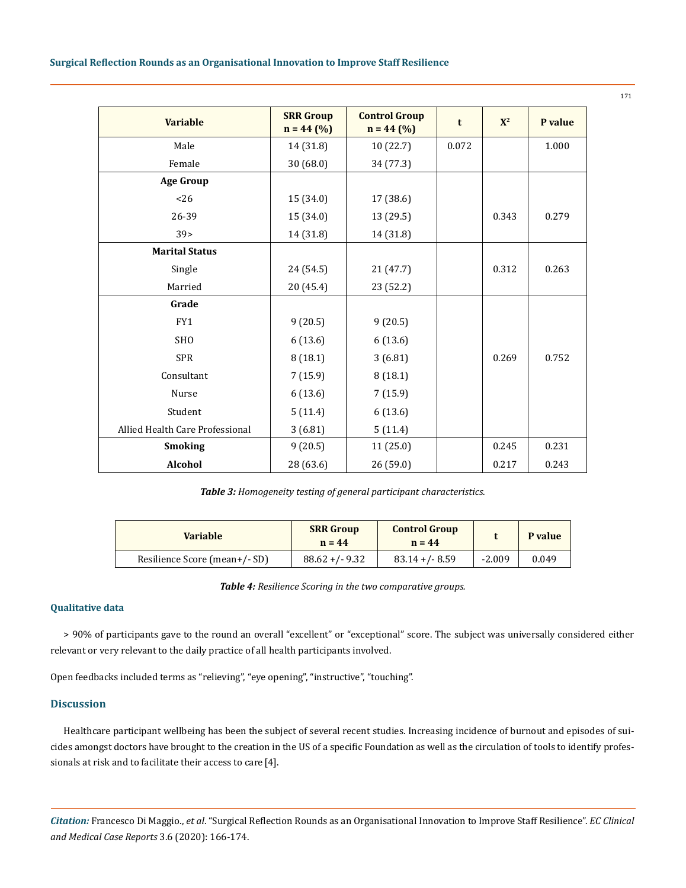## **Surgical Reflection Rounds as an Organisational Innovation to Improve Staff Resilience**

| <b>Variable</b>                 | <b>SRR Group</b><br>$n = 44$ (%) | <b>Control Group</b><br>$n = 44$ (%) | t     | $X^2$ | P value |
|---------------------------------|----------------------------------|--------------------------------------|-------|-------|---------|
| Male                            | 14 (31.8)                        | 10 (22.7)                            | 0.072 |       | 1.000   |
| Female                          | 30 (68.0)                        | 34 (77.3)                            |       |       |         |
| <b>Age Group</b>                |                                  |                                      |       |       |         |
| 26                              | 15 (34.0)                        | 17 (38.6)                            |       |       |         |
| 26-39                           | 15 (34.0)                        | 13 (29.5)                            |       | 0.343 | 0.279   |
| 39 <sub>5</sub>                 | 14 (31.8)                        | 14 (31.8)                            |       |       |         |
| <b>Marital Status</b>           |                                  |                                      |       |       |         |
| Single                          | 24 (54.5)                        | 21(47.7)                             |       | 0.312 | 0.263   |
| Married                         | 20 (45.4)                        | 23 (52.2)                            |       |       |         |
| Grade                           |                                  |                                      |       |       |         |
| FY1                             | 9(20.5)                          | 9(20.5)                              |       |       |         |
| <b>SHO</b>                      | 6(13.6)                          | 6(13.6)                              |       |       |         |
| <b>SPR</b>                      | 8(18.1)                          | 3(6.81)                              |       | 0.269 | 0.752   |
| Consultant                      | 7(15.9)                          | 8(18.1)                              |       |       |         |
| Nurse                           | 6(13.6)                          | 7(15.9)                              |       |       |         |
| Student                         | 5(11.4)                          | 6(13.6)                              |       |       |         |
| Allied Health Care Professional | 3(6.81)                          | 5(11.4)                              |       |       |         |
| <b>Smoking</b>                  | 9(20.5)                          | 11 (25.0)                            |       | 0.245 | 0.231   |
| <b>Alcohol</b>                  | 28 (63.6)                        | 26(59.0)                             |       | 0.217 | 0.243   |

*Table 3: Homogeneity testing of general participant characteristics.*

| <b>Variable</b>               | <b>SRR Group</b><br>$n = 44$ | <b>Control Group</b><br>$n = 44$ |          | <b>P</b> value |
|-------------------------------|------------------------------|----------------------------------|----------|----------------|
| Resilience Score (mean+/- SD) | $88.62 + (-9.32)$            | $83.14 + (-8.59)$                | $-2.009$ | 0.049          |

*Table 4: Resilience Scoring in the two comparative groups.* 

## **Qualitative data**

> 90% of participants gave to the round an overall "excellent" or "exceptional" score. The subject was universally considered either relevant or very relevant to the daily practice of all health participants involved.

Open feedbacks included terms as "relieving", "eye opening", "instructive", "touching".

## **Discussion**

Healthcare participant wellbeing has been the subject of several recent studies. Increasing incidence of burnout and episodes of suicides amongst doctors have brought to the creation in the US of a specific Foundation as well as the circulation of tools to identify professionals at risk and to facilitate their access to care [4].

*Citation:* Francesco Di Maggio., *et al*. "Surgical Reflection Rounds as an Organisational Innovation to Improve Staff Resilience". *EC Clinical and Medical Case Reports* 3.6 (2020): 166-174.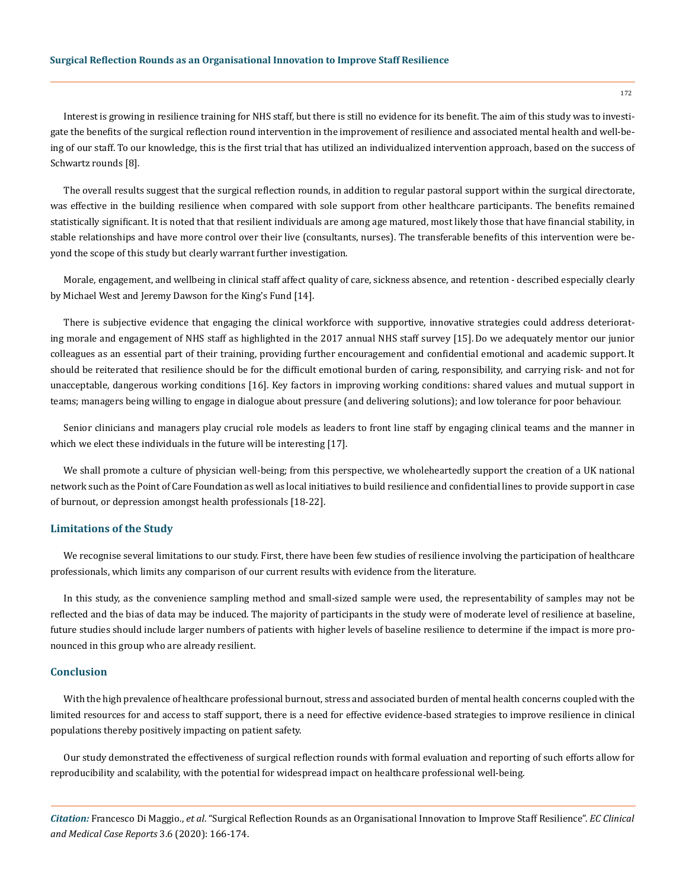Interest is growing in resilience training for NHS staff, but there is still no evidence for its benefit. The aim of this study was to investigate the benefits of the surgical reflection round intervention in the improvement of resilience and associated mental health and well‐being of our staff. To our knowledge, this is the first trial that has utilized an individualized intervention approach, based on the success of Schwartz rounds [8].

The overall results suggest that the surgical reflection rounds, in addition to regular pastoral support within the surgical directorate, was effective in the building resilience when compared with sole support from other healthcare participants. The benefits remained statistically significant. It is noted that that resilient individuals are among age matured, most likely those that have financial stability, in stable relationships and have more control over their live (consultants, nurses). The transferable benefits of this intervention were beyond the scope of this study but clearly warrant further investigation.

Morale, engagement, and wellbeing in clinical staff affect quality of care, sickness absence, and retention - described especially clearly by Michael West and Jeremy Dawson for the King's Fund [14].

There is subjective evidence that engaging the clinical workforce with supportive, innovative strategies could address deteriorating morale and engagement of NHS staff as highlighted in the 2017 annual NHS staff survey [15].Do we adequately mentor our junior colleagues as an essential part of their training, providing further encouragement and confidential emotional and academic support. It should be reiterated that resilience should be for the difficult emotional burden of caring, responsibility, and carrying risk- and not for unacceptable, dangerous working conditions [16]. Key factors in improving working conditions: shared values and mutual support in teams; managers being willing to engage in dialogue about pressure (and delivering solutions); and low tolerance for poor behaviour.

Senior clinicians and managers play crucial role models as leaders to front line staff by engaging clinical teams and the manner in which we elect these individuals in the future will be interesting [17].

We shall promote a culture of physician well-being; from this perspective, we wholeheartedly support the creation of a UK national network such as the Point of Care Foundation as well as local initiatives to build resilience and confidential lines to provide support in case of burnout, or depression amongst health professionals [18-22].

## **Limitations of the Study**

We recognise several limitations to our study. First, there have been few studies of resilience involving the participation of healthcare professionals, which limits any comparison of our current results with evidence from the literature.

In this study, as the convenience sampling method and small‐sized sample were used, the representability of samples may not be reflected and the bias of data may be induced. The majority of participants in the study were of moderate level of resilience at baseline, future studies should include larger numbers of patients with higher levels of baseline resilience to determine if the impact is more pronounced in this group who are already resilient.

## **Conclusion**

With the high prevalence of healthcare professional burnout, stress and associated burden of mental health concerns coupled with the limited resources for and access to staff support, there is a need for effective evidence‐based strategies to improve resilience in clinical populations thereby positively impacting on patient safety.

Our study demonstrated the effectiveness of surgical reflection rounds with formal evaluation and reporting of such efforts allow for reproducibility and scalability, with the potential for widespread impact on healthcare professional well-being.

*Citation:* Francesco Di Maggio., *et al*. "Surgical Reflection Rounds as an Organisational Innovation to Improve Staff Resilience". *EC Clinical and Medical Case Reports* 3.6 (2020): 166-174.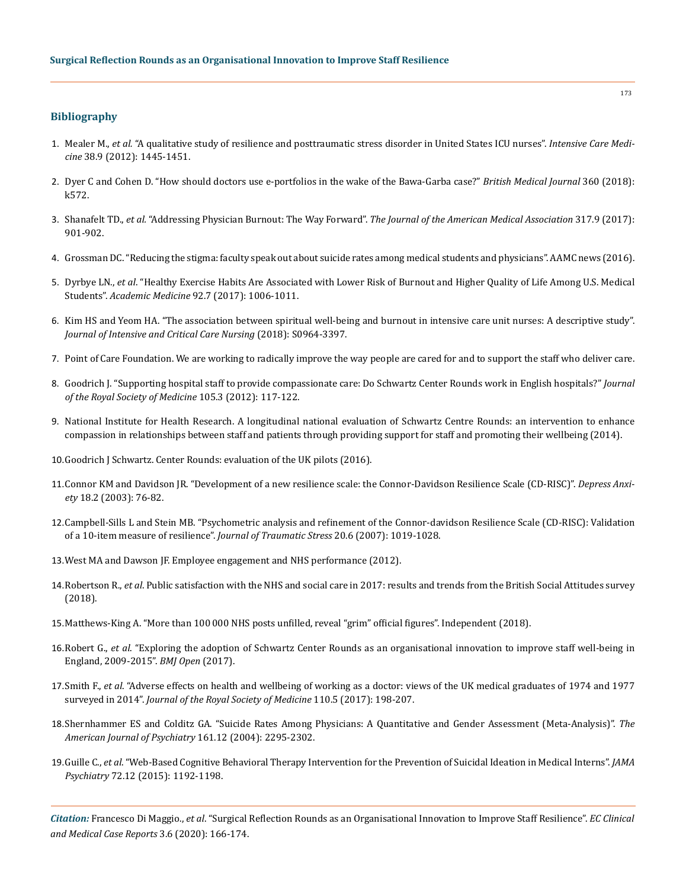## **Bibliography**

- 1. Mealer M., *et al.* ["A qualitative study of resilience and posttraumatic stress disorder in United States ICU nurses".](https://www.ncbi.nlm.nih.gov/pubmed/22618093) *Intensive Care Medicine* [38.9 \(2012\): 1445-1451.](https://www.ncbi.nlm.nih.gov/pubmed/22618093)
- 2. [Dyer C and Cohen D. "How should doctors use e-portfolios in the wake of the Bawa-Garba case?"](https://www.bmj.com/content/360/bmj.k572) *British Medical Journal* 360 (2018): [k572.](https://www.bmj.com/content/360/bmj.k572)
- 3. Shanafelt TD., *et al.* "Addressing Physician Burnout: The Way Forward". *[The Journal of the American Medical Association](https://jamanetwork.com/journals/jama/article-abstract/2603408)* 317.9 (2017): [901-902.](https://jamanetwork.com/journals/jama/article-abstract/2603408)
- 4. [Grossman DC. "Reducing the stigma: faculty speak out about suicide rates among medical students and physicians". AAMC news \(2016\).](https://news.aamc.org/medical-education/article/reducing-stigma-suicide-rates/)
- 5. Dyrbye LN., *et al*[. "Healthy Exercise Habits Are Associated with Lower Risk of Burnout and Higher Quality of Life Among U.S. Medical](https://www.ncbi.nlm.nih.gov/pubmed/28030419)  Students". *Academic Medicine* [92.7 \(2017\): 1006-1011.](https://www.ncbi.nlm.nih.gov/pubmed/28030419)
- 6. [Kim HS and Yeom HA. "The association between spiritual well-being and burnout in intensive care unit nurses: A descriptive study".](https://www.ncbi.nlm.nih.gov/pubmed/29625870)  *[Journal of Intensive and Critical Care Nursing](https://www.ncbi.nlm.nih.gov/pubmed/29625870)* (2018): S0964-3397.
- 7. [Point of Care Foundation. We are working to radically improve the way people are cared for and to support the staff who deliver care.](https://www.pointofcarefoundation.org.uk/)
- 8. [Goodrich J. "Supporting hospital staff to provide compassionate care: Do Schwartz Center Rounds work in English hospitals?"](https://www.ncbi.nlm.nih.gov/pubmed/22434811) *Journal [of the Royal Society of Medicine](https://www.ncbi.nlm.nih.gov/pubmed/22434811)* 105.3 (2012): 117-122.
- 9. National Institute for Health Research. A longitudinal national evaluation of Schwartz Centre Rounds: an intervention to enhance compassion in relationships between staff and patients through providing support for staff and promoting their wellbeing (2014).
- 10.[Goodrich J Schwartz. Center Rounds: evaluation of the UK pilots \(2016\).](http://www.kingsfund.org.uk/schwartzrounds)
- 11.[Connor KM and Davidson JR. "Development of a new resilience scale: the Connor-Davidson Resilience Scale \(CD-RISC\)".](https://www.ncbi.nlm.nih.gov/pubmed/12964174) *Depress Anxiety* [18.2 \(2003\): 76-82.](https://www.ncbi.nlm.nih.gov/pubmed/12964174)
- 12.[Campbell-Sills L and Stein MB. "Psychometric analysis and refinement of the Connor-davidson Resilience Scale \(CD-RISC\): Validation](https://www.ncbi.nlm.nih.gov/pubmed/18157881)  [of a 10-item measure of resilience".](https://www.ncbi.nlm.nih.gov/pubmed/18157881) *Journal of Traumatic Stress* 20.6 (2007): 1019-1028.
- 13.West MA and Dawson JF. Employee engagement and NHS performance (2012).
- 14.Robertson R., *et al*. Public satisfaction with the NHS and social care in 2017: results and trends from the British Social Attitudes survey (2018).
- 15.[Matthews-King A. "More than 100 000 NHS posts unfilled, reveal "grim" official figures". Independent \(2018\).](https://www.independent.co.uk/news/health/nhs-posts-staffing-recruitment-official-figures-healthcare-hospitals-a8221961.html)
- 16.Robert G., *et al*[. "Exploring the adoption of Schwartz Center Rounds as an organisational innovation to improve staff well-being in](https://bmjopen.bmj.com/content/7/1/e014326)  [England, 2009-2015".](https://bmjopen.bmj.com/content/7/1/e014326) *BMJ Open* (2017).
- 17.Smith F., *et al*[. "Adverse effects on health and wellbeing of working as a doctor: views of the UK medical graduates of 1974 and 1977](https://www.ncbi.nlm.nih.gov/pubmed/28504070)  surveyed in 2014". *[Journal of the Royal Society of Medicine](https://www.ncbi.nlm.nih.gov/pubmed/28504070)* 110.5 (2017): 198-207.
- 18.[Shernhammer ES and Colditz GA. "Suicide Rates Among Physicians: A Quantitative and Gender Assessment \(Meta-Analysis\)".](https://www.researchgate.net/publication/8157487_Suicide_Rates_Among_Physicians_A_Quantitative_and_Gender_Assessment_Meta-Analysis) *The [American Journal of Psychiatry](https://www.researchgate.net/publication/8157487_Suicide_Rates_Among_Physicians_A_Quantitative_and_Gender_Assessment_Meta-Analysis)* 161.12 (2004): 2295-2302.
- 19.Guille C., *et al*[. "Web-Based Cognitive Behavioral Therapy Intervention for the Prevention of Suicidal Ideation in Medical Interns".](https://www.ncbi.nlm.nih.gov/pubmed/26535958) *JAMA Psychiatry* [72.12 \(2015\): 1192-1198.](https://www.ncbi.nlm.nih.gov/pubmed/26535958)